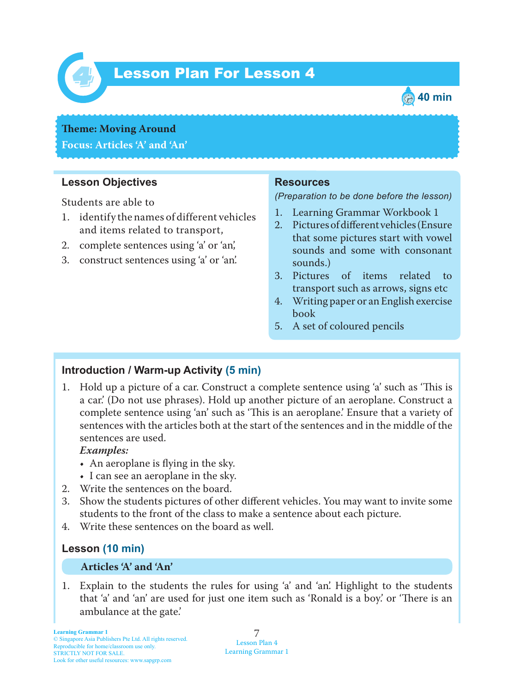

## *4* Lesson Plan For Lesson 4



## **Theme: Moving Around Focus: Articles 'A' and 'An'**

# **Lesson Objectives**

Students are able to

- 1. identify the names of different vehicles and items related to transport,
- 2. complete sentences using 'a' or 'an',
- 3. construct sentences using 'a' or 'an'.

#### **Resources**

*(Preparation to be done before the lesson)*

- 1. Learning Grammar Workbook 1
- 2. Pictures of different vehicles (Ensure that some pictures start with vowel sounds and some with consonant sounds.)
- 3. Pictures of items related to transport such as arrows, signs etc
- 4. Writing paper or an English exercise book
- 5. A set of coloured pencils

## **Introduction / Warm-up Activity (5 min)**

1. Hold up a picture of a car. Construct a complete sentence using 'a' such as 'This is a car.' (Do not use phrases). Hold up another picture of an aeroplane. Construct a complete sentence using 'an' such as 'Tis is an aeroplane.' Ensure that a variety of sentences with the articles both at the start of the sentences and in the middle of the sentences are used.

#### *Examples:*

- An aeroplane is flying in the sky.
- I can see an aeroplane in the sky.
- 2. Write the sentences on the board.
- 3. Show the students pictures of other different vehicles. You may want to invite some students to the front of the class to make a sentence about each picture.
- 4. Write these sentences on the board as well.

## **Lesson (10 min)**

#### **Articles 'A' and 'An'**

1. Explain to the students the rules for using 'a' and 'an'. Highlight to the students that 'a' and 'an' are used for just one item such as 'Ronald is a boy' or 'There is an ambulance at the gate.'

7 Lesson Plan 4 Learning Grammar 1